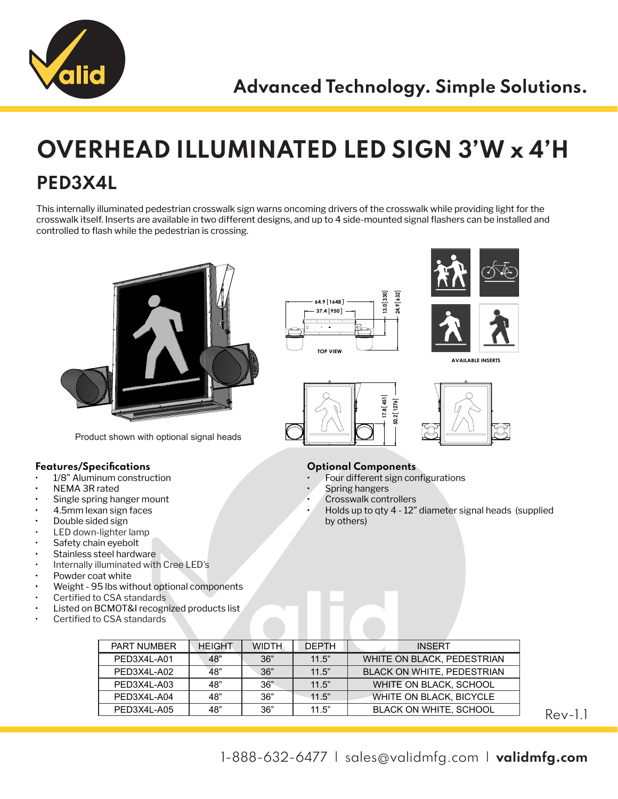

## **OVERHEAD ILLUMINATED LED SIGN 3'W x 4'H PED3X4L**

This internally illuminated pedestrian crosswalk sign warns oncoming drivers of the crosswalk while providing light for the crosswalk itself. Inserts are available in two different designs, and up to 4 side-mounted signal flashers can be installed and controlled to flash while the pedestrian is crossing.



Product shown with optional signal heads

## **Features/Specifications**

- 1/8" Aluminum construction
- NEMA 3R rated
- Single spring hanger mount
- 4.5mm lexan sign faces
- Double sided sign
- LED down-lighter lamp
- Safety chain eyebolt
- Stainless steel hardware
- Internally illuminated with Cree LED's
- Powder coat white
- Weight 95 lbs without optional components
- Certified to CSA standards
- Listed on BCMOT&I recognized products list
- Certified to CSA standards







**AVAILABLE INSERTS**





## **Optional Components**

- Four different sign configurations
- Spring hangers
- Crosswalk controllers
- Holds up to qty 4 12" diameter signal heads (supplied by others)

| <b>HEIGHT</b> | <b>WIDTH</b> | <b>DEPTH</b> | <b>INSFRT</b>                     |
|---------------|--------------|--------------|-----------------------------------|
| 48"           | 36"          | 11.5"        | WHITE ON BLACK, PEDESTRIAN        |
| 48"           | 36"          | 11.5"        | <b>BLACK ON WHITE, PEDESTRIAN</b> |
| 48"           | 36"          | 11.5"        | WHITE ON BLACK, SCHOOL            |
| 48"           | 36"          | 11.5"        | WHITE ON BLACK, BICYCLE           |
| 48"           | 36"          | 11.5"        | <b>BLACK ON WHITE, SCHOOL</b>     |
|               |              |              |                                   |

Rev-1.1